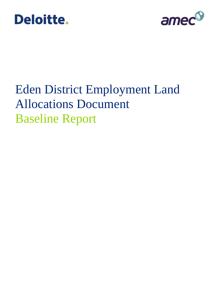



# Eden District Employment Land Allocations Document Baseline Report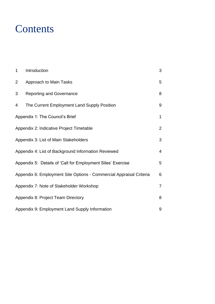### **Contents**

| $\mathbf 1$                                                 | Introduction                                                        | 3              |
|-------------------------------------------------------------|---------------------------------------------------------------------|----------------|
| $\overline{2}$                                              | Approach to Main Tasks                                              | 5              |
| 3                                                           | <b>Reporting and Governance</b>                                     | 8              |
| 4                                                           | The Current Employment Land Supply Position                         | 9              |
|                                                             | Appendix 1: The Council's Brief                                     | $\mathbf 1$    |
|                                                             | Appendix 2: Indicative Project Timetable                            | $\overline{2}$ |
|                                                             | Appendix 3: List of Main Stakeholders                               | 3              |
| Appendix 4: List of Background Information Reviewed         |                                                                     |                |
| Appendix 5: Details of 'Call for Employment Sites' Exercise |                                                                     |                |
|                                                             | Appendix 6: Employment Site Options - Commercial Appraisal Criteria | 6              |
|                                                             | Appendix 7: Note of Stakeholder Workshop                            | 7              |
|                                                             | Appendix 8: Project Team Directory                                  | 8              |
|                                                             | Appendix 9: Employment Land Supply Information                      | 9              |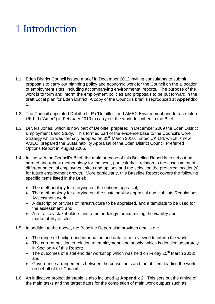# <span id="page-2-0"></span>1 Introduction

- 1.1 Eden District Council issued a brief in December 2012 inviting consultants to submit proposals to carry out planning policy and economic work for the Council on the allocation of employment sites, including accompanying environmental reports. The purpose of the work is to form and inform the employment policies and proposals to be put forward in the draft Local plan for Eden District. A copy of the Council's brief is reproduced at **Appendix 1**.
- 1.2 The Council appointed Deloitte LLP ("Deloitte") and AMEC Environment and Infrastructure UK Ltd ("Amec") in February 2013 to carry out the work described in the Brief.
- 1.3 Drivers Jonas, which is now part of Deloitte, prepared in December 2009 the Eden District Employment Land Study. This formed part of the evidence base to the Council's Core Strategy which was formally adopted on 31<sup>st</sup> March 2010. Entec UK Ltd, which is now AMEC, prepared the Sustainability Appraisal of the Eden District Council Preferred Options Report in August 2006.
- 1.4 In line with the Council's Brief, the main purpose of this Baseline Report is to set out an agreed and robust methodology for the work, particularly in relation to the assessment of different potential employment sites and options and the selection the preferred location(s) for future employment growth. More particularly, this Baseline Report covers the following specific items listed in the Brief:
	- The methodology for carrying out the options appraisal;
	- The methodology for carrying out the sustainability appraisal and Habitats Regulations Assessment work;
	- A description of types of infrastructure to be appraised, and a template to be used for the assessment; and
	- A list of key stakeholders and a methodology for examining the viability and marketability of sites.
- 1.5 In addition to the above, the Baseline Report also provides details on:
	- The range of background information and data to be reviewed to inform the work;
	- The current position in relation to employment land supply, which is detailed separately in Section 4 of this Report;
	- The outcomes of a stakeholder workshop which was held on Friday 15<sup>th</sup> March 2013; and
	- Governance arrangements between the consultants and the officers leading the work on behalf of the Council.
- 1.6 An indicative project timetable is also included at **Appendix 2**. This sets out the timing of the main tasks and the target dates for the completion of main work outputs such as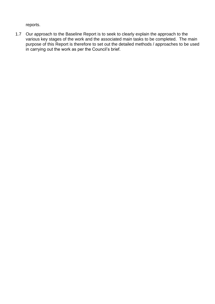reports.

1.7 Our approach to the Baseline Report is to seek to clearly explain the approach to the various key stages of the work and the associated main tasks to be completed. The main purpose of this Report is therefore to set out the detailed methods / approaches to be used in carrying out the work as per the Council's brief.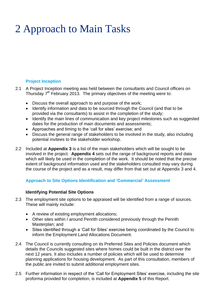# <span id="page-4-0"></span>2 Approach to Main Tasks

#### **Project Inception**

- 2.1 A Project Inception meeting was held between the consultants and Council officers on Thursday  $7<sup>th</sup>$  February 2013. The primary objectives of the meeting were to:
	- Discuss the overall approach to and purpose of the work;
	- Identify information and data to be sourced through the Council (and that to be provided via the consultants) to assist in the completion of the study;
	- Identify the main lines of communication and key project milestones such as suggested dates for the production of main documents and assessments;
	- Approaches and timing to the 'call for sites' exercise; and
	- Discuss the general range of stakeholders to be involved in the study, also including potential invitees to the stakeholder workshop.
- 2.2 Included at **Appendix 3** is a list of the main stakeholders which will be sought to be involved in the project. **Appendix 4** sets out the range of background reports and data which will likely be used in the completion of the work. It should be noted that the precise extent of background information used and the stakeholders consulted may vary during the course of the project and as a result, may differ from that set out at Appendix 3 and 4.

#### **Approach to Site Options Identification and 'Commercial' Assessment**

#### **Identifying Potential Site Options**

- 2.3 The employment site options to be appraised will be identified from a range of sources. These will mainly include:
	- A review of existing employment allocations;
	- Other sites within / around Penrith considered previously through the Penrith Masterplan; and
	- Sites identified through a 'Call for Sites' exercise being coordinated by the Council to inform the Employment Land Allocations Document.
- 2.4 The Council is currently consulting on its Preferred Sites and Policies document which details the Councils suggested sites where homes could be built in the district over the next 12 years. It also includes a number of policies which will be used to determine planning applications for housing development. As part of this consultation, members of the public are invited to submit additional employment sites.
- 2.5 Further information in respect of the 'Call for Employment Sites' exercise, including the site proforma provided for completion, is included at **Appendix 5** of this Report.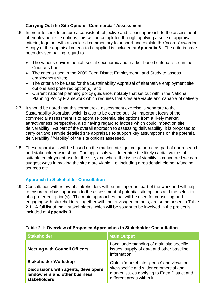#### **Carrying Out the Site Options 'Commercial' Assessment**

- 2.6 In order to seek to ensure a consistent, objective and robust approach to the assessment of employment site options, this will be completed through applying a suite of appraisal criteria, together with associated commentary to support and explain the 'scores' awarded. A copy of the appraisal criteria to be applied is included at **Appendix 6**. The criteria have been devised having regard to:
	- The various environmental, social / economic and market-based criteria listed in the Council's brief;
	- The criteria used in the 2009 Eden District Employment Land Study to assess employment sites;
	- The criteria to be used for the Sustainability Appraisal of alternative employment site options and preferred option(s); and
	- Current national planning policy guidance, notably that set out within the National Planning Policy Framework which requires that sites are viable and capable of delivery
- 2.7 It should be noted that this commercial assessment exercise is separate to the Sustainability Appraisal which is also to be carried out. An important focus of the commercial assessment is to appraise potential site options from a likely market attractiveness perspective, also having regard to factors which could impact on site deliverability. As part of the overall approach to assessing deliverability, it is proposed to carry out two sample detailed site appraisals to support key assumptions on the potential deliverability / 'viability' of the site options assessed.
- 2.8 These appraisals will be based on the market intelligence gathered as part of our research and stakeholder workshop. The appraisals will determine the likely capital values of suitable employment use for the site, and where the issue of viability is concerned we can suggest ways in making the site more viable, i.e. including a residential element/funding sources etc.

#### **Approach to Stakeholder Consultation**

2.9 Consultation with relevant stakeholders will be an important part of the work and will help to ensure a robust approach to the assessment of potential site options and the selection of a preferred option(s). The main approaches that will be used for consulting and engaging with stakeholders, together with the envisaged outputs, are summarised in Table 2.1. A full list of main stakeholders which will be sought to be involved in the project is included at **Appendix 3**.

| <b>Stakeholder</b>                                                                    | <b>Main Output</b>                                                                                                                                              |  |
|---------------------------------------------------------------------------------------|-----------------------------------------------------------------------------------------------------------------------------------------------------------------|--|
| <b>Meeting with Council Officers</b>                                                  | Local understanding of main site specific<br>issues, supply of data and other baseline<br>information                                                           |  |
| <b>Stakeholder Workshop</b>                                                           | Obtain 'market intelligence' and views on<br>site-specific and wider commercial and<br>market issues applying to Eden District and<br>different areas within it |  |
| Discussions with agents, developers,<br>landowners and other business<br>stakeholders |                                                                                                                                                                 |  |

#### **Table 2.1: Overview of Proposed Approaches to Stakeholder Consultation**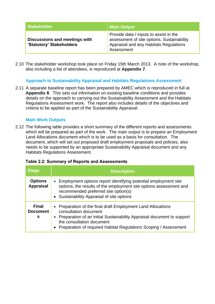| <b>Stakeholder</b>                                        | Main Output                                                                                                                                  |
|-----------------------------------------------------------|----------------------------------------------------------------------------------------------------------------------------------------------|
| Discussions and meetings with<br>'Statutory' Stakeholders | Provide data / inputs to assist in the<br>assessment of site options, Sustainability<br>Appraisal and any Habitats Regulations<br>Assessment |

2.10 The stakeholder workshop took place on Friday 15th March 2013. A note of the workshop, also including a list of attendees, is reproduced at **Appendix 7**.

#### **Approach to Sustainability Appraisal and Habitats Regulations Assessment**

2.11 A separate baseline report has been prepared by AMEC which is reproduced in full at **Appendix 8**. This sets out information on existing baseline conditions and provides details on the approach to carrying out the Sustainability Assessment and the Habitats Regulations Assessment work. The report also includes details of the objectives and criteria to be applied as part of the Sustainability Appraisal.

#### **Main Work Outputs**

2.12 The following table provides a short summary of the different reports and assessments which will be prepared as part of the work. The main output is to prepare an Employment Land Allocations document which is to be used as a basis for consultation. The document, which will set out proposed draft employment proposals and policies, also needs to be supported by an appropriate Sustainability Appraisal document and any Habitats Regulations Assessment.

| <b>Stage</b>                         | <b>Description</b>                                                                                                                                                                                                                                                 |
|--------------------------------------|--------------------------------------------------------------------------------------------------------------------------------------------------------------------------------------------------------------------------------------------------------------------|
| <b>Options</b><br><b>Appraisal</b>   | Employment options report identifying potential employment site<br>$\bullet$<br>options, the results of the employment site options assessment and<br>recommended preferred site option(s)<br>• Sustainability Appraisal of site options                           |
| <b>Final</b><br><b>Document</b><br>s | • Preparation of the final draft Employment Land Allocations<br>consultation document<br>• Preparation of an initial Sustainability Appraisal document to support<br>the consultation document<br>Preparation of required Habitat Regulations Scoping / Assessment |

#### **Table 2.2: Summary of Reports and Assessments**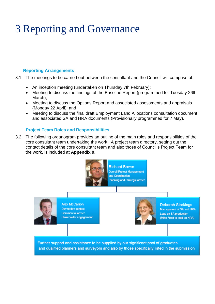# <span id="page-7-0"></span>3 Reporting and Governance

#### **Reporting Arrangements**

- 3.1 The meetings to be carried out between the consultant and the Council will comprise of:
	- An inception meeting (undertaken on Thursday 7th February);
	- Meeting to discuss the findings of the Baseline Report (programmed for Tuesday 26th March);
	- Meeting to discuss the Options Report and associated assessments and appraisals (Monday 22 April); and
	- Meeting to discuss the final draft Employment Land Allocations consultation document and associated SA and HRA documents (Provisionally programmed for 7 May).

#### **Project Team Roles and Responsibilities**

3.2 The following organogram provides an outline of the main roles and responsibilities of the core consultant team undertaking the work. A project team directory, setting out the contact details of the core consultant team and also those of Council's Project Team for the work, is included at **Appendix 9**.





**Alex McCallion** Day to day contact **Commercial advice** Stakeholder engagement



**Deborah Starkings** Management of SA and HRA **Lead on SA production** (Mike Frost to lead on HRA)

Further support and assistance to be supplied by our significant pool of graduates and qualified planners and surveyors and also by those specifically listed in the submission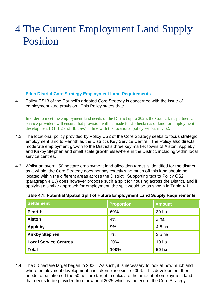### <span id="page-8-0"></span>4 The Current Employment Land Supply Position

#### **Eden District Core Strategy Employment Land Requirements**

4.1 Policy CS13 of the Council's adopted Core Strategy is concerned with the issue of employment land provision. This Policy states that:

In order to meet the employment land needs of the District up to 2025, the Council, its partners and service providers will ensure that provision will be made for **50 hectares** of land for employment development (B1, B2 and B8 uses) in line with the locational policy set out in CS2.

- 4.2 The locational policy provided by Policy CS2 of the Core Strategy seeks to focus strategic employment land to Penrith as the District's Key Service Centre. The Policy also directs moderate employment growth to the District's three key market towns of Alston, Appleby and Kirkby Stephen and small scale growth elsewhere in the District, including within local service centres.
- 4.3 Whilst an overall 50 hectare employment land allocation target is identified for the district as a whole, the Core Strategy does not say exactly who much off this land should be located within the different areas across the District. Supporting text to Policy CS2 (paragraph 4.13) does however propose such a split for housing across the District, and if applying a similar approach for employment, the split would be as shown in Table 4.1.

| <b>Settlement</b>            | <b>Proportion</b> | <b>Amount</b>     |
|------------------------------|-------------------|-------------------|
| <b>Penrith</b>               | 60%               | 30 ha             |
| <b>Alston</b>                | 4%                | 2 ha              |
| <b>Appleby</b>               | 9%                | 4.5 ha            |
| <b>Kirkby Stephen</b>        | 7%                | 3.5 <sub>ha</sub> |
| <b>Local Service Centres</b> | 20%               | 10 <sub>ha</sub>  |
| <b>Total</b>                 | 100%              | <b>50 ha</b>      |

#### **Table 4.1: Potential Spatial Split of Future Employment Land Supply Requirements**

4.4 The 50 hectare target began in 2006. As such, it is necessary to look at how much and where employment development has taken place since 2006. This development then needs to be taken off the 50 hectare target to calculate the amount of employment land that needs to be provided from now until 2025 which is the end of the Core Strategy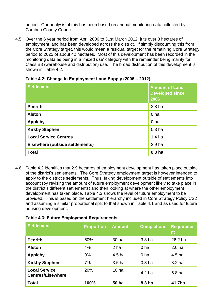period. Our analysis of this has been based on annual monitoring data collected by Cumbria County Council.

4.5 Over the 6 year period from April 2006 to 31st March 2012, juts over 8 hectares of employment land has been developed across the district. If simply discounting this from the Core Strategy target, this would mean a residual target for the remaining Core Strategy period to 2025 of about 42 hectares. Most of this development has been recorded in the monitoring data as being in a 'mixed use' category with the remainder being mainly for Class B8 (warehouse and distribution) use. The broad distribution of this development is shown in Table 4.2.

| <b>Settlement</b>                      | <b>Amount of Land</b><br><b>Developed since</b><br>2006 |
|----------------------------------------|---------------------------------------------------------|
| <b>Penrith</b>                         | 3.8 ha                                                  |
| <b>Alston</b>                          | 0 <sub>ha</sub>                                         |
| <b>Appleby</b>                         | 0 <sub>ha</sub>                                         |
| <b>Kirkby Stephen</b>                  | 0.3 <sub>ha</sub>                                       |
| <b>Local Service Centres</b>           | 1.4 <sub>ha</sub>                                       |
| <b>Elsewhere (outside settlements)</b> | 2.9 <sub>ha</sub>                                       |
| <b>Total</b>                           | 8.3 ha                                                  |

**Table 4.2: Change in Employment Land Supply (2006 – 2012)**

4.6 Table 4.2 identifies that 2.9 hectares of employment development has taken place outside of the district's settlements. The Core Strategy employment target is however intended to apply to the district's settlements. Thus, taking development outside of settlements into account (by revising the amount of future employment development likely to take place in the district's different settlements) and then looking at where the other employment development has taken place, Table 4.3 shows the level of future employment to be provided. This is based on the settlement hierarchy included in Core Strategy Policy CS2 and assuming a similar proportional split to that shown in Table 4.1 and as used for future housing development.

|  | <b>Table 4.3: Future Employment Requirements</b> |
|--|--------------------------------------------------|
|--|--------------------------------------------------|

| <b>Settlement</b>                                | <b>Proportion</b> | <b>Amount</b>     | <b>Completions</b> | <b>Requireme</b><br>nt |
|--------------------------------------------------|-------------------|-------------------|--------------------|------------------------|
| <b>Penrith</b>                                   | 60%               | 30 ha             | 3.8 <sub>ha</sub>  | 26.2 ha                |
| <b>Alston</b>                                    | 4%                | 2 ha              | 0 <sub>ha</sub>    | 2.0 <sub>ha</sub>      |
| <b>Appleby</b>                                   | 9%                | 4.5 <sub>ha</sub> | 0 <sub>ha</sub>    | 4.5 <sub>ha</sub>      |
| <b>Kirkby Stephen</b>                            | 7%                | 3.5 <sub>ha</sub> | 0.3 <sub>ha</sub>  | 3.2 <sub>ha</sub>      |
| <b>Local Service</b><br><b>Centres/Elsewhere</b> | 20%               | 10 <sub>ha</sub>  | 4.2 <sub>ha</sub>  | 5.8 <sub>ha</sub>      |
| <b>Total</b>                                     | 100%              | 50 ha             | 8.3 ha             | 41.7ha                 |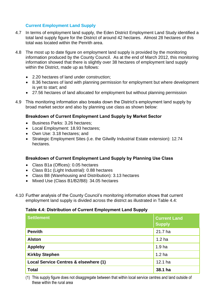#### **Current Employment Land Supply**

- 4.7 In terms of employment land supply, the Eden District Employment Land Study identified a total land supply figure for the District of around 42 hectares. Almost 28 hectares of this total was located within the Penrith area.
- 4.8 The most up to date figure on employment land supply is provided by the monitoring information produced by the County Council. As at the end of March 2012, this monitoring information showed that there is slightly over 38 hectares of employment land supply within the District, made up as follows:
	- 2.20 hectares of land under construction;
	- 8.36 hectares of land with planning permission for employment but where development is yet to start; and
	- 27.56 hectares of land allocated for employment but without planning permission
- 4.9 This monitoring information also breaks down the District's employment land supply by broad market sector and also by planning use class as shown below:

#### **Breakdown of Current Employment Land Supply by Market Sector**

- Business Parks: 3.26 hectares;
- Local Employment: 18.93 hectares;
- Own Use: 3.18 hectares; and
- Strategic Employment Sites (i.e. the Gilwilly Industrial Estate extension): 12.74 hectares.

#### **Breakdown of Current Employment Land Supply by Planning Use Class**

- Class B1a (Offices): 0.05 hectares
- Class B1c (Light Industrial): 0.88 hectares
- Class B8 (Warehousing and Distribution): 3.13 hectares
- Mixed Use (Class B1/B2/B8): 34.05 hectares
- 4.10 Further analysis of the County Council's monitoring information shows that current employment land supply is divided across the district as illustrated in Table 4.4:

#### **Table 4.4: Distribution of Current Employment Land Supply**

| <b>Settlement</b>                     | <b>Current Land</b><br><b>Supply</b> |
|---------------------------------------|--------------------------------------|
| <b>Penrith</b>                        | 21.7 ha                              |
| <b>Alston</b>                         | 1.2 <sub>ha</sub>                    |
| <b>Appleby</b>                        | 1.9 <sub>ha</sub>                    |
| <b>Kirkby Stephen</b>                 | 1.2 <sub>ha</sub>                    |
| Local Service Centres & elsewhere (1) | 12.1 ha                              |
| <b>Total</b>                          | 38.1 ha                              |

(1) This supply figure does not disaggregate between that within local service centres and land outside of these within the rural area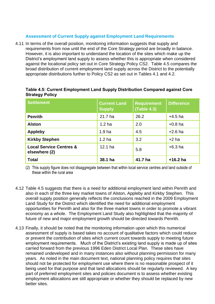#### **Assessment of Current Supply against Employment Land Requirements**

4.11 In terms of the overall position, monitoring information suggests that supply and requirements from now until the end of the Core Strategy period are broadly in balance. However, it is also important to understand the location of the sites which make up the District's employment land supply to assess whether this is appropriate when considered against the locational policy set out in Core Strategy Policy CS2. Table 4.5 compares the broad distribution of current employment land supply across the District to the potentially appropriate distributions further to Policy CS2 as set out in Tables 4.1 and 4.2.

| <b>Settlement</b>                                   | <b>Current Land</b><br><b>Supply</b> | <b>Requirement</b><br>(Table 4.3) | <b>Difference</b> |
|-----------------------------------------------------|--------------------------------------|-----------------------------------|-------------------|
| <b>Penrith</b>                                      | 21.7 ha                              | 26.2                              | $+4.5$ ha         |
| <b>Alston</b>                                       | 1.2 <sub>ha</sub>                    | 2.0                               | $+0.8$ ha         |
| <b>Appleby</b>                                      | 1.9 <sub>ha</sub>                    | 4.5                               | $+2.6$ ha         |
| <b>Kirkby Stephen</b>                               | 1.2 <sub>ha</sub>                    | 3.2                               | $+2$ ha           |
| <b>Local Service Centres &amp;</b><br>elsewhere (2) | $12.1$ ha                            | 5.8                               | $+6.3$ ha         |
| <b>Total</b>                                        | 38.1 ha                              | 41.7 ha                           | $+16.2$ ha        |

#### **Table 4.5: Current Employment Land Supply Distribution Compared against Core Strategy Policy**

(2) This supply figure does not disaggregate between that within local service centres and land outside of these within the rural area

- 4.12 Table 4.5 suggests that there is a need for additional employment land within Penrith and also in each of the three key market towns of Alston, Appleby and Kirkby Stephen. This overall supply position generally reflects the conclusions reached in the 2009 Employment Land Study for the District which identified the need for additional employment opportunities for Penrith and also for the three market towns in order to promote a vibrant economy as a whole. The Employment Land Study also highlighted that the majority of future of new and major employment growth should be directed towards Penrith.
- 4.13 Finally, it should be noted that the monitoring information upon which this numerical assessment of supply is based takes no account of qualitative factors which could reduce or prevent the contribution of sites which current count towards supply to meeting future employment requirements. Much of the District's existing land supply is made up of sites carried forward from the previous 1996 Eden District Local Plan. These sites have remained undeveloped and in many instances also without planning permission for many years. As noted in the main document text, national planning policy requires that sites should not be protected for employment use where there is no reasonable prospect of it being used for that purpose and that land allocations should be regularly reviewed. A key part of preferred employment sites and policies document is to assess whether existing employment allocations are still appropriate or whether they should be replaced by new better sites.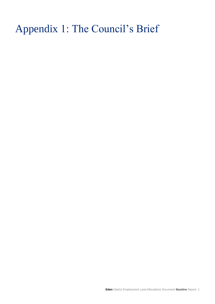# <span id="page-12-0"></span>Appendix 1: The Council's Brief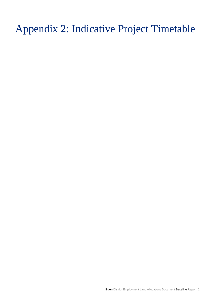<span id="page-13-0"></span>Appendix 2: Indicative Project Timetable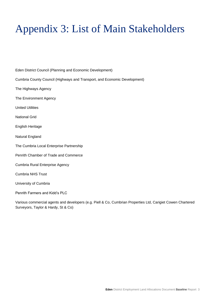# <span id="page-14-0"></span>Appendix 3: List of Main Stakeholders

Eden District Council (Planning and Economic Development) Cumbria County Council (Highways and Transport, and Economic Development) The Highways Agency The Environment Agency United Utilities National Grid English Heritage Natural England The Cumbria Local Enterprise Partnership Penrith Chamber of Trade and Commerce Cumbria Rural Enterprise Agency Cumbria NHS Trust University of Cumbria Penrith Farmers and Kidd's PLC

Various commercial agents and developers (e.g. Piell & Co, Cumbrian Properties Ltd, Carigiet Cowen Chartered Surveyors, Taylor & Hardy, St & Co)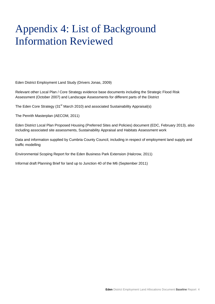# <span id="page-15-0"></span>Appendix 4: List of Background Information Reviewed

Eden District Employment Land Study (Drivers Jonas, 2009)

Relevant other Local Plan / Core Strategy evidence base documents including the Strategic Flood Risk Assessment (October 2007) and Landscape Assessments for different parts of the District

The Eden Core Strategy (31<sup>st</sup> March 2010) and associated Sustainability Appraisal(s)

The Penrith Masterplan (AECOM, 2011)

Eden District Local Plan Proposed Housing (Preferred Sites and Policies) document (EDC, February 2013), also including associated site assessments, Sustainability Appraisal and Habitats Assessment work

Data and information supplied by Cumbria County Council, including in respect of employment land supply and traffic modelling

Environmental Scoping Report for the Eden Business Park Extension (Halcrow, 2011)

Informal draft Planning Brief for land up to Junction 40 of the M6 (September 2011)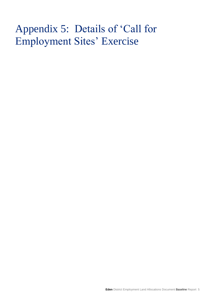# <span id="page-16-0"></span>Appendix 5: Details of 'Call for Employment Sites' Exercise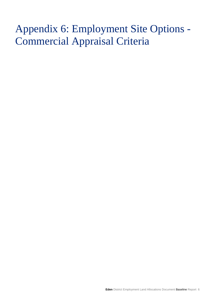# <span id="page-17-0"></span>Appendix 6: Employment Site Options - Commercial Appraisal Criteria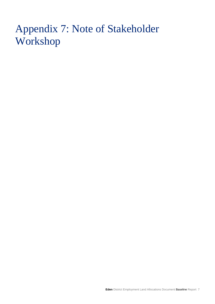# <span id="page-18-0"></span>Appendix 7: Note of Stakeholder Workshop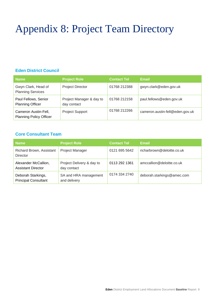# <span id="page-19-0"></span>Appendix 8: Project Team Directory

#### **Eden District Council**

| <b>Name</b>                                            | <b>Project Role</b>                     | <b>Contact Tel</b> | Email                           |
|--------------------------------------------------------|-----------------------------------------|--------------------|---------------------------------|
| Gwyn Clark, Head of<br><b>Planning Services</b>        | <b>Project Director</b>                 | 01768 212388       | gwyn.clark@eden.gov.uk          |
| Paul Fellows, Senior<br><b>Planning Officer</b>        | Project Manager & day to<br>day contact | 01768 212158       | paul.fellows@eden.gov.uk        |
| Cameron Austin-Fell,<br><b>Planning Policy Officer</b> | <b>Project Support</b>                  | 01768 212266       | cameron.austin-fell@eden.gov.uk |

#### **Core Consultant Team**

| <b>Name</b>                                       | <b>Project Role</b>                      | <b>Contact Tel</b> | <b>Email</b>               |
|---------------------------------------------------|------------------------------------------|--------------------|----------------------------|
| Richard Brown, Assistant<br><b>Director</b>       | <b>Project Manager</b>                   | 0121 695 5642      | richarbrown@deloitte.co.uk |
| Alexander McCallion,<br><b>Assistant Director</b> | Project Delivery & day to<br>day contact | 0113 292 1361      | amccallion@deloitte.co.uk  |
| Deborah Starkings,<br><b>Principal Consultant</b> | SA and HRA management<br>and delivery    | 0174 334 2740      | deborah.starkings@amec.com |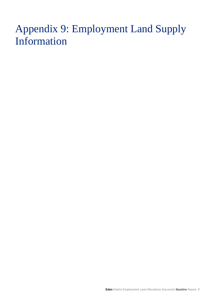# <span id="page-20-0"></span>Appendix 9: Employment Land Supply Information